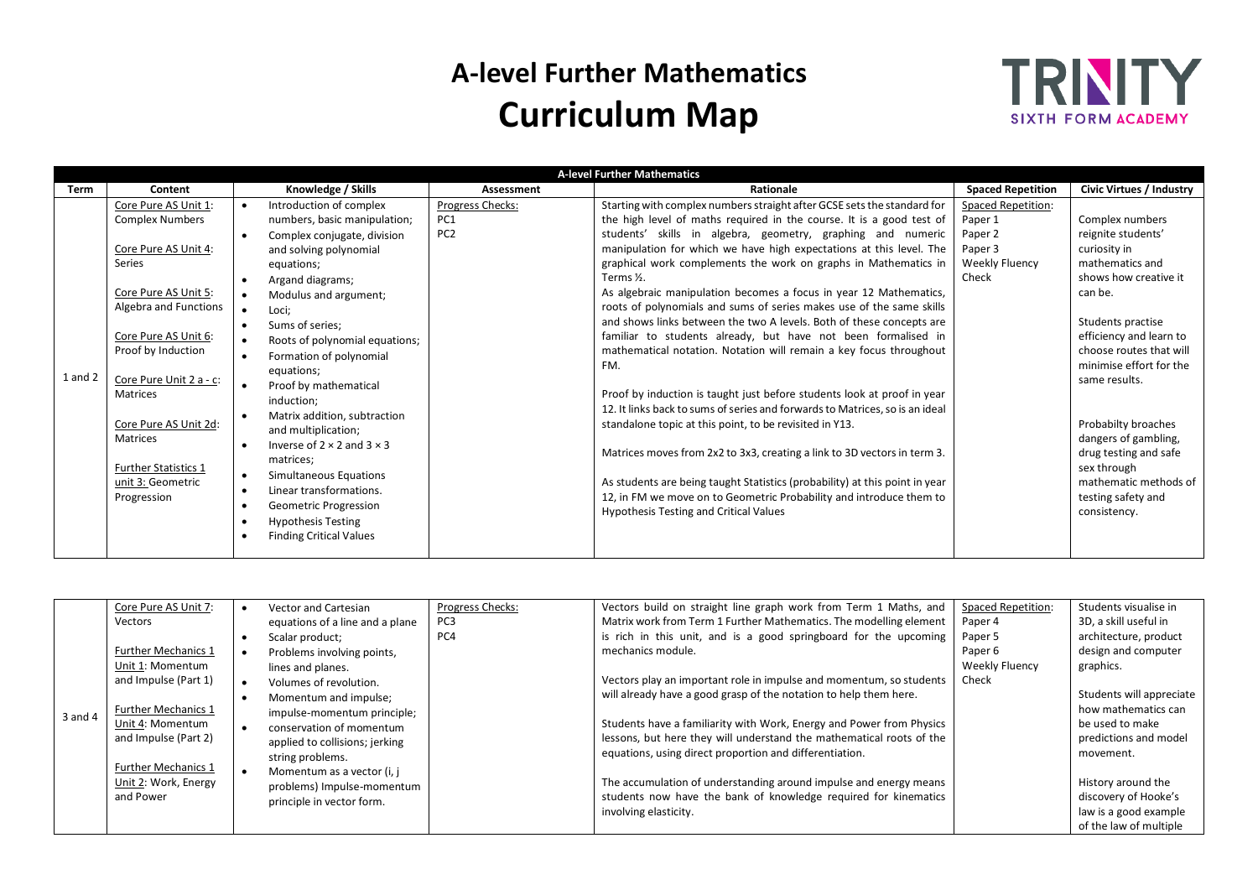## **A-level Further Mathematics Curriculum Map**



| <b>A-level Further Mathematics</b> |                                                                                          |                                                       |                   |                                                                              |                          |                          |  |  |
|------------------------------------|------------------------------------------------------------------------------------------|-------------------------------------------------------|-------------------|------------------------------------------------------------------------------|--------------------------|--------------------------|--|--|
| <b>Term</b>                        | Content                                                                                  | Knowledge / Skills                                    | <b>Assessment</b> | <b>Rationale</b>                                                             | <b>Spaced Repetition</b> | Civic Virtues / Industry |  |  |
|                                    | Core Pure AS Unit 1:                                                                     | Introduction of complex<br>$\bullet$                  | Progress Checks:  | Starting with complex numbers straight after GCSE sets the standard for      | Spaced Repetition:       |                          |  |  |
|                                    | <b>Complex Numbers</b>                                                                   | numbers, basic manipulation;                          | PC1               | the high level of maths required in the course. It is a good test of         | Paper 1                  | Complex numbers          |  |  |
|                                    |                                                                                          | Complex conjugate, division<br>$\bullet$              | PC <sub>2</sub>   | students' skills in algebra, geometry, graphing and numeric                  | Paper 2                  | reignite students'       |  |  |
|                                    | Core Pure AS Unit 4:                                                                     | and solving polynomial                                |                   | manipulation for which we have high expectations at this level. The          | Paper 3                  | curiosity in             |  |  |
|                                    | Series                                                                                   | equations;                                            |                   | graphical work complements the work on graphs in Mathematics in              | Weekly Fluency           | mathematics and          |  |  |
|                                    |                                                                                          | Argand diagrams;<br>$\bullet$                         |                   | Terms 1/2.                                                                   | Check                    | shows how creative it    |  |  |
|                                    | Core Pure AS Unit 5:                                                                     | Modulus and argument;                                 |                   | As algebraic manipulation becomes a focus in year 12 Mathematics,            |                          | can be.                  |  |  |
|                                    | Algebra and Functions                                                                    | Loci;                                                 |                   | roots of polynomials and sums of series makes use of the same skills         |                          |                          |  |  |
|                                    |                                                                                          | Sums of series:<br>$\bullet$                          |                   | and shows links between the two A levels. Both of these concepts are         |                          | Students practise        |  |  |
|                                    | Core Pure AS Unit 6:<br>Proof by Induction<br>Core Pure Unit 2 a - c:<br><b>Matrices</b> | Roots of polynomial equations;<br>$\bullet$           |                   | familiar to students already, but have not been formalised in                |                          | efficiency and learn to  |  |  |
|                                    |                                                                                          | Formation of polynomial                               |                   | mathematical notation. Notation will remain a key focus throughout           |                          | choose routes that will  |  |  |
| 1 and 2                            |                                                                                          | equations;                                            |                   | FM.                                                                          |                          | minimise effort for the  |  |  |
|                                    |                                                                                          | Proof by mathematical                                 |                   |                                                                              |                          | same results.            |  |  |
|                                    |                                                                                          | induction;                                            |                   | Proof by induction is taught just before students look at proof in year      |                          |                          |  |  |
|                                    | Core Pure AS Unit 2d:<br><b>Matrices</b>                                                 | Matrix addition, subtraction<br>$\bullet$             |                   | 12. It links back to sums of series and forwards to Matrices, so is an ideal |                          |                          |  |  |
|                                    |                                                                                          | and multiplication;                                   |                   | standalone topic at this point, to be revisited in Y13.                      |                          | Probabilty broaches      |  |  |
|                                    |                                                                                          | Inverse of $2 \times 2$ and $3 \times 3$<br>$\bullet$ |                   |                                                                              |                          | dangers of gambling,     |  |  |
|                                    |                                                                                          | matrices;                                             |                   | Matrices moves from 2x2 to 3x3, creating a link to 3D vectors in term 3.     |                          | drug testing and safe    |  |  |
|                                    | <b>Further Statistics 1</b>                                                              | Simultaneous Equations<br>$\bullet$                   |                   |                                                                              |                          | sex through              |  |  |
|                                    | unit 3: Geometric                                                                        | Linear transformations.<br>$\bullet$                  |                   | As students are being taught Statistics (probability) at this point in year  |                          | mathematic methods of    |  |  |
|                                    | Progression                                                                              | Geometric Progression                                 |                   | 12, in FM we move on to Geometric Probability and introduce them to          |                          | testing safety and       |  |  |
|                                    |                                                                                          | <b>Hypothesis Testing</b>                             |                   | Hypothesis Testing and Critical Values                                       |                          | consistency.             |  |  |
|                                    |                                                                                          | <b>Finding Critical Values</b>                        |                   |                                                                              |                          |                          |  |  |
|                                    |                                                                                          |                                                       |                   |                                                                              |                          |                          |  |  |

|             | Core Pure AS Unit 7:       | Vector and Cartesian            | Progress Checks: | Vectors build on straight line graph work from Term 1 Maths, and     | <b>Spaced Repetition:</b> | Students visualise in    |
|-------------|----------------------------|---------------------------------|------------------|----------------------------------------------------------------------|---------------------------|--------------------------|
|             | Vectors                    | equations of a line and a plane | PC <sub>3</sub>  | Matrix work from Term 1 Further Mathematics. The modelling element   | Paper 4                   | 3D, a skill useful in    |
|             |                            | Scalar product;                 | PC4              | is rich in this unit, and is a good springboard for the upcoming     | Paper 5                   | architecture, product    |
|             | <b>Further Mechanics 1</b> | Problems involving points,      |                  | mechanics module.                                                    | Paper 6                   | design and computer      |
|             | Unit 1: Momentum           | lines and planes.               |                  |                                                                      | Weekly Fluency            | graphics.                |
|             | and Impulse (Part 1)       | Volumes of revolution.          |                  | Vectors play an important role in impulse and momentum, so students  | Check                     |                          |
|             |                            | Momentum and impulse;           |                  | will already have a good grasp of the notation to help them here.    |                           | Students will appreciate |
| $3$ and $4$ | <b>Further Mechanics 1</b> | impulse-momentum principle;     |                  |                                                                      |                           | how mathematics can      |
|             | Unit 4: Momentum           | conservation of momentum        |                  | Students have a familiarity with Work, Energy and Power from Physics |                           | be used to make          |
|             | and Impulse (Part 2)       | applied to collisions; jerking  |                  | lessons, but here they will understand the mathematical roots of the |                           | predictions and model    |
|             |                            | string problems.                |                  | equations, using direct proportion and differentiation.              |                           | movement.                |
|             | <b>Further Mechanics 1</b> | Momentum as a vector (i, j      |                  |                                                                      |                           |                          |
|             | Unit 2: Work, Energy       | problems) Impulse-momentum      |                  | The accumulation of understanding around impulse and energy means    |                           | History around the       |
|             | and Power                  | principle in vector form.       |                  | students now have the bank of knowledge required for kinematics      |                           | discovery of Hooke's     |
|             |                            |                                 |                  | involving elasticity.                                                |                           | law is a good example    |
|             |                            |                                 |                  |                                                                      |                           | of the law of multiple   |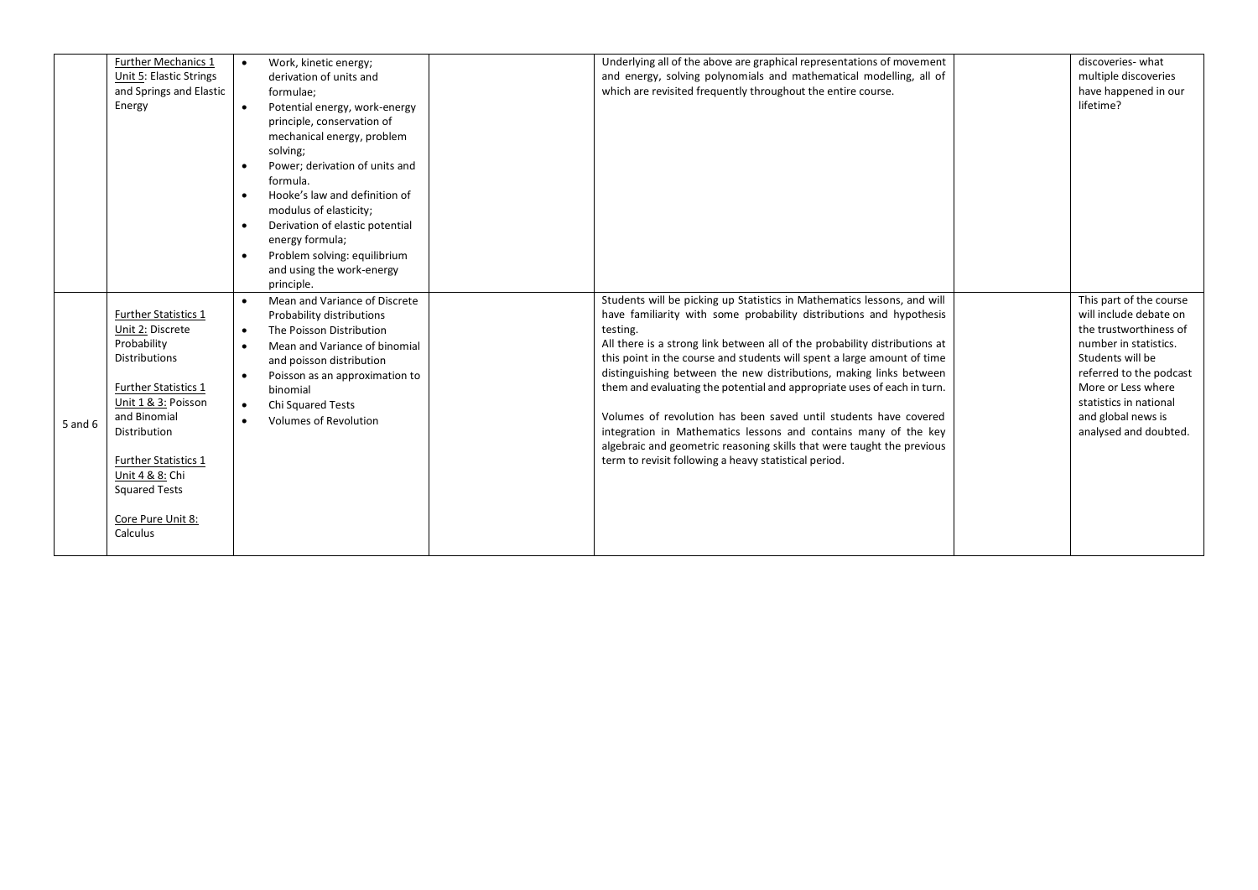|         | <b>Further Mechanics 1</b>  | Work, kinetic energy;<br>$\bullet$           | Underlying all of the above are graphical representations of movement      | discoveries-what        |
|---------|-----------------------------|----------------------------------------------|----------------------------------------------------------------------------|-------------------------|
|         | Unit 5: Elastic Strings     | derivation of units and                      | and energy, solving polynomials and mathematical modelling, all of         | multiple discoveries    |
|         | and Springs and Elastic     | formulae;                                    | which are revisited frequently throughout the entire course.               | have happened in our    |
|         | Energy                      | Potential energy, work-energy<br>$\bullet$   |                                                                            | lifetime?               |
|         |                             | principle, conservation of                   |                                                                            |                         |
|         |                             | mechanical energy, problem                   |                                                                            |                         |
|         |                             | solving;                                     |                                                                            |                         |
|         |                             | Power; derivation of units and<br>$\bullet$  |                                                                            |                         |
|         |                             | formula.                                     |                                                                            |                         |
|         |                             | Hooke's law and definition of<br>$\bullet$   |                                                                            |                         |
|         |                             | modulus of elasticity;                       |                                                                            |                         |
|         |                             | Derivation of elastic potential<br>$\bullet$ |                                                                            |                         |
|         |                             | energy formula;                              |                                                                            |                         |
|         |                             | Problem solving: equilibrium<br>$\bullet$    |                                                                            |                         |
|         |                             | and using the work-energy                    |                                                                            |                         |
|         |                             | principle.                                   |                                                                            |                         |
|         |                             | Mean and Variance of Discrete<br>$\bullet$   | Students will be picking up Statistics in Mathematics lessons, and will    | This part of the course |
|         | <b>Further Statistics 1</b> | Probability distributions                    | have familiarity with some probability distributions and hypothesis        | will include debate on  |
|         | Unit 2: Discrete            | The Poisson Distribution<br>$\bullet$        | testing.                                                                   | the trustworthiness of  |
|         | Probability                 | Mean and Variance of binomial<br>$\bullet$   | All there is a strong link between all of the probability distributions at | number in statistics.   |
|         | <b>Distributions</b>        | and poisson distribution                     | this point in the course and students will spent a large amount of time    | Students will be        |
|         |                             | Poisson as an approximation to<br>$\bullet$  | distinguishing between the new distributions, making links between         | referred to the podcast |
|         | Further Statistics 1        | binomial                                     | them and evaluating the potential and appropriate uses of each in turn.    | More or Less where      |
|         | Unit 1 & 3: Poisson         | $\bullet$<br><b>Chi Squared Tests</b>        |                                                                            | statistics in national  |
|         | and Binomial                | <b>Volumes of Revolution</b><br>$\bullet$    | Volumes of revolution has been saved until students have covered           | and global news is      |
| 5 and 6 | Distribution                |                                              | integration in Mathematics lessons and contains many of the key            | analysed and doubted.   |
|         |                             |                                              | algebraic and geometric reasoning skills that were taught the previous     |                         |
|         | Further Statistics 1        |                                              | term to revisit following a heavy statistical period.                      |                         |
|         | Unit 4 & 8: Chi             |                                              |                                                                            |                         |
|         | <b>Squared Tests</b>        |                                              |                                                                            |                         |
|         |                             |                                              |                                                                            |                         |
|         | Core Pure Unit 8:           |                                              |                                                                            |                         |
|         | Calculus                    |                                              |                                                                            |                         |
|         |                             |                                              |                                                                            |                         |